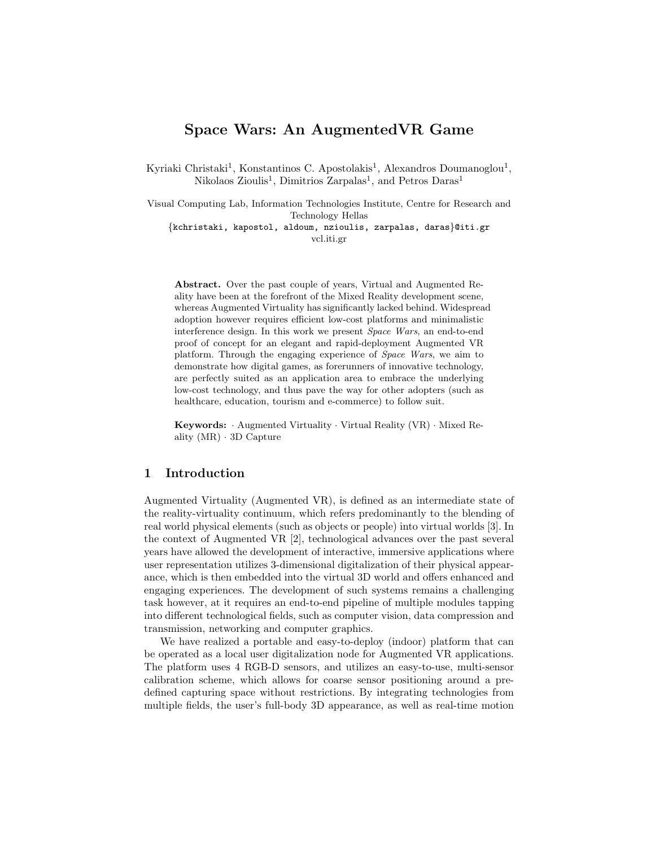# Space Wars: An AugmentedVR Game

Kyriaki Christaki<sup>1</sup>, Konstantinos C. Apostolakis<sup>1</sup>, Alexandros Doumanoglou<sup>1</sup>, Nikolaos Zioulis<sup>1</sup>, Dimitrios Zarpalas<sup>1</sup>, and Petros Daras<sup>1</sup>

Visual Computing Lab, Information Technologies Institute, Centre for Research and Technology Hellas {kchristaki, kapostol, aldoum, nzioulis, zarpalas, daras}@iti.gr vcl.iti.gr

Abstract. Over the past couple of years, Virtual and Augmented Reality have been at the forefront of the Mixed Reality development scene, whereas Augmented Virtuality has significantly lacked behind. Widespread adoption however requires efficient low-cost platforms and minimalistic interference design. In this work we present Space Wars, an end-to-end proof of concept for an elegant and rapid-deployment Augmented VR platform. Through the engaging experience of Space Wars, we aim to demonstrate how digital games, as forerunners of innovative technology, are perfectly suited as an application area to embrace the underlying low-cost technology, and thus pave the way for other adopters (such as healthcare, education, tourism and e-commerce) to follow suit.

**Keywords:**  $\cdot$  Augmented Virtuality  $\cdot$  Virtual Reality (VR)  $\cdot$  Mixed Reality (MR) · 3D Capture

## 1 Introduction

Augmented Virtuality (Augmented VR), is defined as an intermediate state of the reality-virtuality continuum, which refers predominantly to the blending of real world physical elements (such as objects or people) into virtual worlds [3]. In the context of Augmented VR [2], technological advances over the past several years have allowed the development of interactive, immersive applications where user representation utilizes 3-dimensional digitalization of their physical appearance, which is then embedded into the virtual 3D world and offers enhanced and engaging experiences. The development of such systems remains a challenging task however, at it requires an end-to-end pipeline of multiple modules tapping into different technological fields, such as computer vision, data compression and transmission, networking and computer graphics.

We have realized a portable and easy-to-deploy (indoor) platform that can be operated as a local user digitalization node for Augmented VR applications. The platform uses 4 RGB-D sensors, and utilizes an easy-to-use, multi-sensor calibration scheme, which allows for coarse sensor positioning around a predefined capturing space without restrictions. By integrating technologies from multiple fields, the user's full-body 3D appearance, as well as real-time motion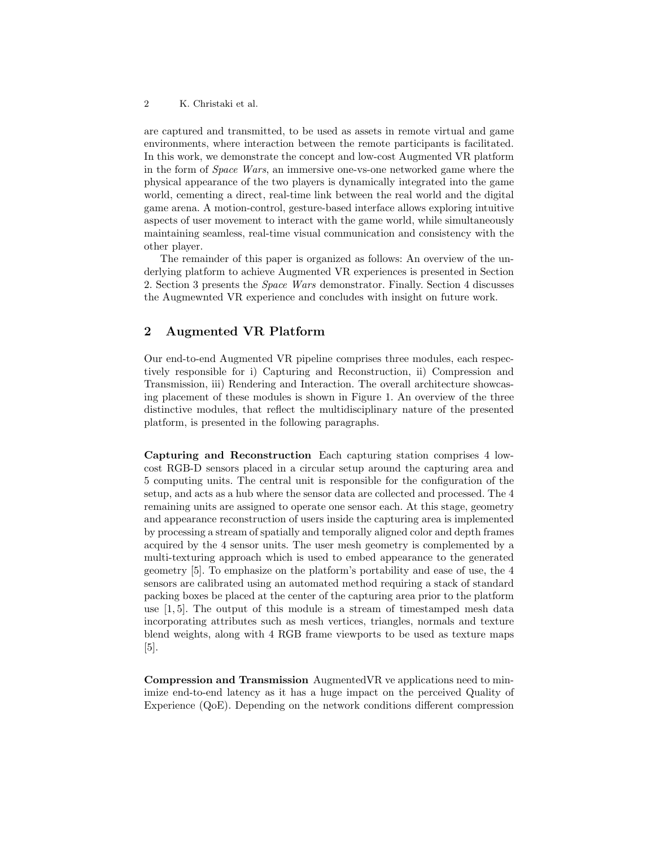are captured and transmitted, to be used as assets in remote virtual and game environments, where interaction between the remote participants is facilitated. In this work, we demonstrate the concept and low-cost Augmented VR platform in the form of Space Wars, an immersive one-vs-one networked game where the physical appearance of the two players is dynamically integrated into the game world, cementing a direct, real-time link between the real world and the digital game arena. A motion-control, gesture-based interface allows exploring intuitive aspects of user movement to interact with the game world, while simultaneously maintaining seamless, real-time visual communication and consistency with the other player.

The remainder of this paper is organized as follows: An overview of the underlying platform to achieve Augmented VR experiences is presented in Section 2. Section 3 presents the Space Wars demonstrator. Finally. Section 4 discusses the Augmewnted VR experience and concludes with insight on future work.

## 2 Augmented VR Platform

Our end-to-end Augmented VR pipeline comprises three modules, each respectively responsible for i) Capturing and Reconstruction, ii) Compression and Transmission, iii) Rendering and Interaction. The overall architecture showcasing placement of these modules is shown in Figure 1. An overview of the three distinctive modules, that reflect the multidisciplinary nature of the presented platform, is presented in the following paragraphs.

Capturing and Reconstruction Each capturing station comprises 4 lowcost RGB-D sensors placed in a circular setup around the capturing area and 5 computing units. The central unit is responsible for the configuration of the setup, and acts as a hub where the sensor data are collected and processed. The 4 remaining units are assigned to operate one sensor each. At this stage, geometry and appearance reconstruction of users inside the capturing area is implemented by processing a stream of spatially and temporally aligned color and depth frames acquired by the 4 sensor units. The user mesh geometry is complemented by a multi-texturing approach which is used to embed appearance to the generated geometry [5]. To emphasize on the platform's portability and ease of use, the 4 sensors are calibrated using an automated method requiring a stack of standard packing boxes be placed at the center of the capturing area prior to the platform use  $[1, 5]$ . The output of this module is a stream of timestamped mesh data incorporating attributes such as mesh vertices, triangles, normals and texture blend weights, along with 4 RGB frame viewports to be used as texture maps [5].

Compression and Transmission AugmentedVR ve applications need to minimize end-to-end latency as it has a huge impact on the perceived Quality of Experience (QoE). Depending on the network conditions different compression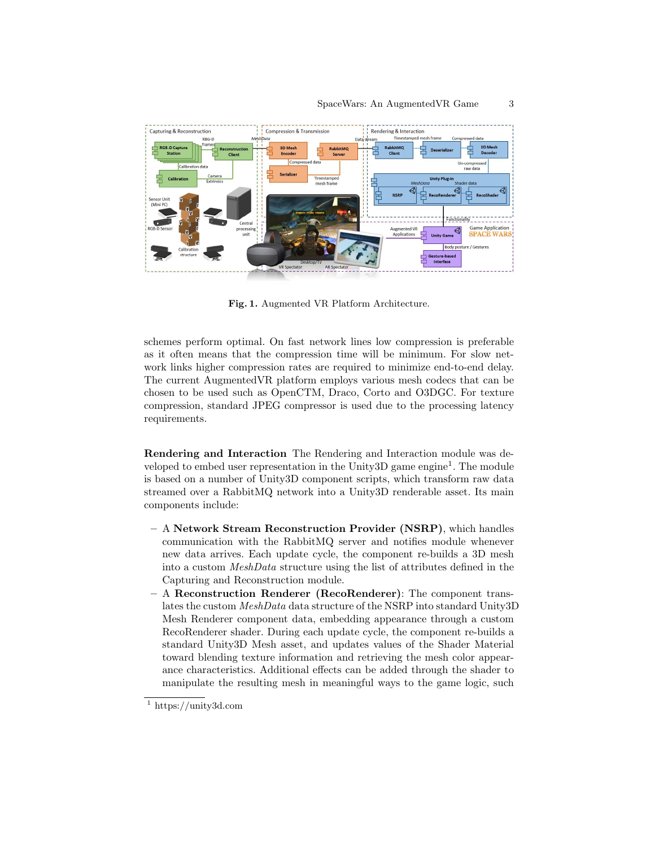

Fig. 1. Augmented VR Platform Architecture.

schemes perform optimal. On fast network lines low compression is preferable as it often means that the compression time will be minimum. For slow network links higher compression rates are required to minimize end-to-end delay. The current AugmentedVR platform employs various mesh codecs that can be chosen to be used such as OpenCTM, Draco, Corto and O3DGC. For texture compression, standard JPEG compressor is used due to the processing latency requirements.

Rendering and Interaction The Rendering and Interaction module was developed to embed user representation in the Unity3D game engine<sup>1</sup>. The module is based on a number of Unity3D component scripts, which transform raw data streamed over a RabbitMQ network into a Unity3D renderable asset. Its main components include:

- A Network Stream Reconstruction Provider (NSRP), which handles communication with the RabbitMQ server and notifies module whenever new data arrives. Each update cycle, the component re-builds a 3D mesh into a custom MeshData structure using the list of attributes defined in the Capturing and Reconstruction module.
- A Reconstruction Renderer (RecoRenderer): The component translates the custom MeshData data structure of the NSRP into standard Unity3D Mesh Renderer component data, embedding appearance through a custom RecoRenderer shader. During each update cycle, the component re-builds a standard Unity3D Mesh asset, and updates values of the Shader Material toward blending texture information and retrieving the mesh color appearance characteristics. Additional effects can be added through the shader to manipulate the resulting mesh in meaningful ways to the game logic, such

 $\frac{1}{1}$  https://unity3d.com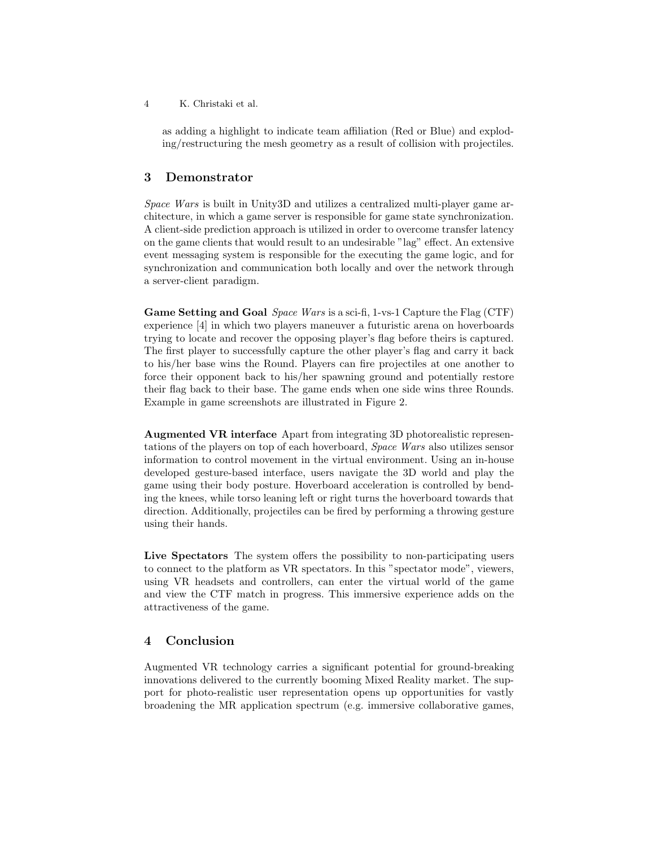4 K. Christaki et al.

as adding a highlight to indicate team affiliation (Red or Blue) and exploding/restructuring the mesh geometry as a result of collision with projectiles.

#### 3 Demonstrator

Space Wars is built in Unity3D and utilizes a centralized multi-player game architecture, in which a game server is responsible for game state synchronization. A client-side prediction approach is utilized in order to overcome transfer latency on the game clients that would result to an undesirable "lag" effect. An extensive event messaging system is responsible for the executing the game logic, and for synchronization and communication both locally and over the network through a server-client paradigm.

Game Setting and Goal Space Wars is a sci-fi, 1-vs-1 Capture the Flag (CTF) experience [4] in which two players maneuver a futuristic arena on hoverboards trying to locate and recover the opposing player's flag before theirs is captured. The first player to successfully capture the other player's flag and carry it back to his/her base wins the Round. Players can fire projectiles at one another to force their opponent back to his/her spawning ground and potentially restore their flag back to their base. The game ends when one side wins three Rounds. Example in game screenshots are illustrated in Figure 2.

Augmented VR interface Apart from integrating 3D photorealistic representations of the players on top of each hoverboard, Space Wars also utilizes sensor information to control movement in the virtual environment. Using an in-house developed gesture-based interface, users navigate the 3D world and play the game using their body posture. Hoverboard acceleration is controlled by bending the knees, while torso leaning left or right turns the hoverboard towards that direction. Additionally, projectiles can be fired by performing a throwing gesture using their hands.

Live Spectators The system offers the possibility to non-participating users to connect to the platform as VR spectators. In this "spectator mode", viewers, using VR headsets and controllers, can enter the virtual world of the game and view the CTF match in progress. This immersive experience adds on the attractiveness of the game.

### 4 Conclusion

Augmented VR technology carries a significant potential for ground-breaking innovations delivered to the currently booming Mixed Reality market. The support for photo-realistic user representation opens up opportunities for vastly broadening the MR application spectrum (e.g. immersive collaborative games,